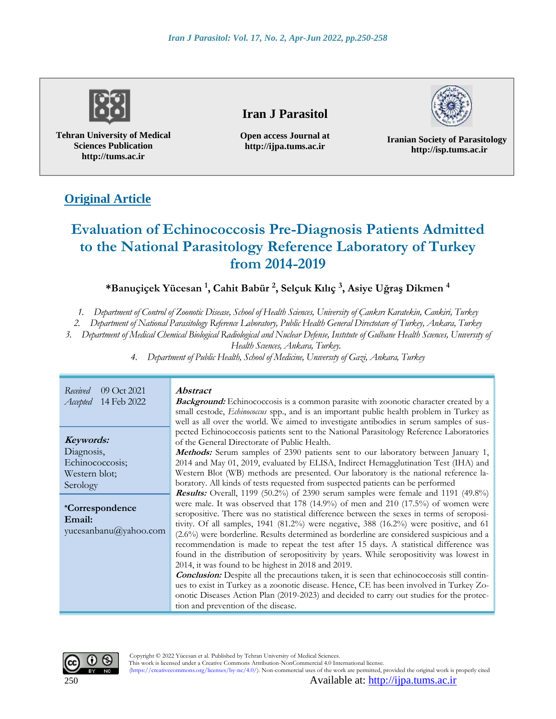

**Tehran University of Medical Sciences Publication http://tums.ac.ir**

# **Iran J Parasitol**

**Open access Journal at http://ijpa.tums.ac.ir**



**Iranian Society of Parasitology http://isp.tums.ac.ir**

# **Original Article**

# **Evaluation of Echinococcosis Pre-Diagnosis Patients Admitted to the National Parasitology Reference Laboratory of Turkey from 2014-2019**

# **\*Banuçiçek Yücesan <sup>1</sup> , Cahit Babür <sup>2</sup> , Selçuk Kılıç <sup>3</sup> , Asiye Uğraş Dikmen <sup>4</sup>**

*1. Department of Control of Zoonotic Disease, School of Health Sciences, University of Çankırı Karatekin, Cankiri, Turkey*

*2. Department of National Parasitology Reference Laboratory, Public Health General Directotare of Turkey, Ankara, Turkey*

*3. Department of Medical Chemical Biological Radiological and Nuclear Defense, Instıtute of Gulhane Health Scıences, Unıversıty of* 

*Health Scıences, Ankara, Turkey.*

*4. Department of Public Health, School of Medicine, Unıversıty of Gazi, Ankara, Turkey*

*Received* 09 Oct 2021 *Accepted* 14 Feb 2022

**Keywords:** Diagnosis, Echinococcosis; Western blot; Serology

**\*Correspondence Email:** yucesanbanu@yahoo.com

#### **Abstract**

**Background:** Echinococcosis is a common parasite with zoonotic character created by a small cestode, *Echinococcus* spp., and is an important public health problem in Turkey as well as all over the world. We aimed to investigate antibodies in serum samples of suspected Echinococcosis patients sent to the National Parasitology Reference Laboratories of the General Directorate of Public Health.

**Methods:** Serum samples of 2390 patients sent to our laboratory between January 1, 2014 and May 01, 2019, evaluated by ELISA, Indirect Hemagglutination Test (IHA) and Western Blot (WB) methods are presented. Our laboratory is the national reference laboratory. All kinds of tests requested from suspected patients can be performed

**Results:** Overall, 1199 (50.2%) of 2390 serum samples were female and 1191 (49.8%) were male. It was observed that 178 (14.9%) of men and 210 (17.5%) of women were seropositive. There was no statistical difference between the sexes in terms of seropositivity. Of all samples, 1941 (81.2%) were negative, 388 (16.2%) were positive, and 61 (2.6%) were borderline. Results determined as borderline are considered suspicious and a recommendation is made to repeat the test after 15 days. A statistical difference was found in the distribution of seropositivity by years. While seropositivity was lowest in 2014, it was found to be highest in 2018 and 2019.

**Conclusion:** Despite all the precautions taken, it is seen that echinococcosis still continues to exist in Turkey as a zoonotic disease. Hence, CE has been involved in Turkey Zoonotic Diseases Action Plan (2019-2023) and decided to carry out studies for the protection and prevention of the disease.



Copyright © 2022 Yücesan et al. Published by Tehran University of Medical Sciences.

This work is licensed under a Creative Commons Attribution-NonCommercial 4.0 International license. (https://creativecommons.org/licenses/by-nc/4.0/). Non-commercial uses of the work are permitted, provided the original work is properly cited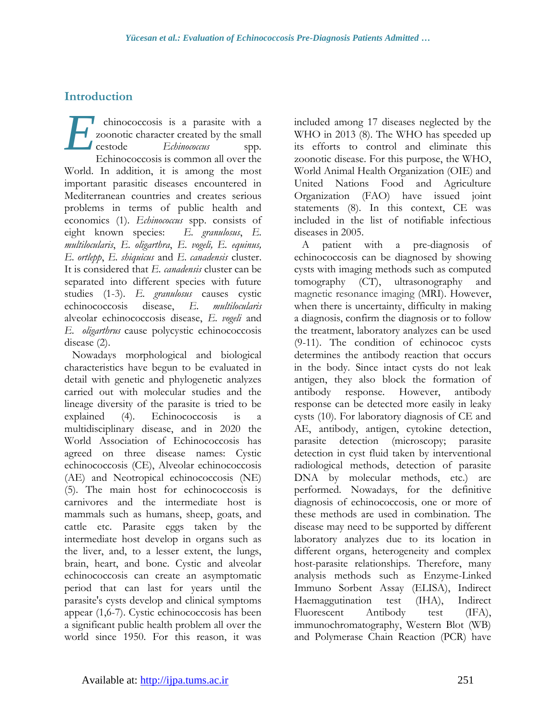# **Introduction**

chinococcosis is a parasite with a zoonotic character created by the small cestode *Echinococcus* spp*.* Echinococcosis is common all over the World. In addition, it is among the most important parasitic diseases encountered in Mediterranean countries and creates serious problems in terms of public health and economics (1). *Echinococcus* spp. consists of eight known species: *E. granulosus*, *E. multilocularis*, *E. oligarthra*, *E. vogeli, E. equinus, E. ortlepp*, *E. shiquicus* and *E. canadensis* cluster. It is considered that *E. canadensis* cluster can be separated into different species with future studies (1-3). *E. granulosus* causes cystic echinococcosis disease, *E. multilocularis* alveolar echinococcosis disease, *E. vogeli* and *E. oligarthrus* cause polycystic echinococcosis disease (2). *E*

Nowadays morphological and biological characteristics have begun to be evaluated in detail with genetic and phylogenetic analyzes carried out with molecular studies and the lineage diversity of the parasite is tried to be explained (4). Echinococcosis is a multidisciplinary disease, and in 2020 the World Association of Echinococcosis has agreed on three disease names: Cystic echinococcosis (CE), Alveolar echinococcosis (AE) and Neotropical echinococcosis (NE) (5). The main host for echinococcosis is carnivores and the intermediate host is mammals such as humans, sheep, goats, and cattle etc. Parasite eggs taken by the intermediate host develop in organs such as the liver, and, to a lesser extent, the lungs, brain, heart, and bone. Cystic and alveolar echinococcosis can create an asymptomatic period that can last for years until the parasite's cysts develop and clinical symptoms appear (1,6-7). Cystic echinococcosis has been a significant public health problem all over the world since 1950. For this reason, it was

included among 17 diseases neglected by the WHO in 2013 (8). The WHO has speeded up its efforts to control and eliminate this zoonotic disease. For this purpose, the WHO, World Animal Health Organization (OIE) and United Nations Food and Agriculture Organization (FAO) have issued joint statements (8). In this context, CE was included in the list of notifiable infectious diseases in 2005.

A patient with a pre-diagnosis of echinococcosis can be diagnosed by showing cysts with imaging methods such as computed tomography (CT), ultrasonography and magnetic resonance imaging (MRI). However, when there is uncertainty, difficulty in making a diagnosis, confirm the diagnosis or to follow the treatment, laboratory analyzes can be used (9-11). The condition of echinococ cysts determines the antibody reaction that occurs in the body. Since intact cysts do not leak antigen, they also block the formation of antibody response. However, antibody response can be detected more easily in leaky cysts (10). For laboratory diagnosis of CE and AE, antibody, antigen, cytokine detection, parasite detection (microscopy; parasite detection in cyst fluid taken by interventional radiological methods, detection of parasite DNA by molecular methods, etc.) are performed. Nowadays, for the definitive diagnosis of echinococcosis, one or more of these methods are used in combination. The disease may need to be supported by different laboratory analyzes due to its location in different organs, heterogeneity and complex host-parasite relationships. Therefore, many analysis methods such as Enzyme-Linked Immuno Sorbent Assay (ELISA), Indirect Haemaggutination test (IHA), Indirect Fluorescent Antibody test (IFA), immunochromatography, Western Blot (WB) and Polymerase Chain Reaction (PCR) have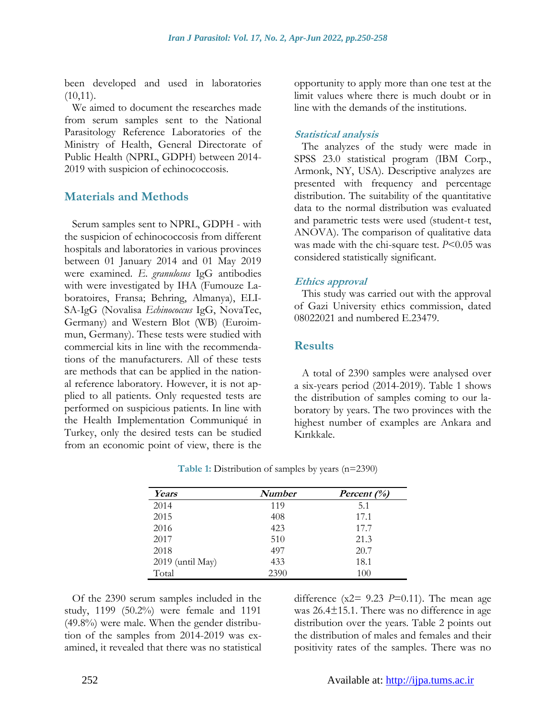been developed and used in laboratories  $(10,11)$ .

We aimed to document the researches made from serum samples sent to the National Parasitology Reference Laboratories of the Ministry of Health, General Directorate of Public Health (NPRL, GDPH) between 2014- 2019 with suspicion of echinococcosis.

## **Materials and Methods**

Serum samples sent to NPRL, GDPH - with the suspicion of echinococcosis from different hospitals and laboratories in various provinces between 01 January 2014 and 01 May 2019 were examined. *E. granulosus* IgG antibodies with were investigated by IHA (Fumouze Laboratoires, Fransa; Behring, Almanya), ELI-SA-IgG (Novalisa *Echinococcus* IgG, NovaTec, Germany) and Western Blot (WB) (Euroimmun, Germany). These tests were studied with commercial kits in line with the recommendations of the manufacturers. All of these tests are methods that can be applied in the national reference laboratory. However, it is not applied to all patients. Only requested tests are performed on suspicious patients. In line with the Health Implementation Communiqué in Turkey, only the desired tests can be studied from an economic point of view, there is the opportunity to apply more than one test at the limit values where there is much doubt or in line with the demands of the institutions.

#### **Statistical analysis**

The analyzes of the study were made in SPSS 23.0 statistical program (IBM Corp., Armonk, NY, USA). Descriptive analyzes are presented with frequency and percentage distribution. The suitability of the quantitative data to the normal distribution was evaluated and parametric tests were used (student-t test, ANOVA). The comparison of qualitative data was made with the chi-square test. *P*<0.05 was considered statistically significant.

#### **Ethics approval**

This study was carried out with the approval of Gazi University ethics commission, dated 08022021 and numbered E.23479.

## **Results**

A total of 2390 samples were analysed over a six-years period (2014-2019). Table 1 shows the distribution of samples coming to our laboratory by years. The two provinces with the highest number of examples are Ankara and Kırıkkale.

| Years              | <b>Number</b> | Percent $(\%)$ |
|--------------------|---------------|----------------|
| 2014               | 119           | 5.1            |
| 2015               | 408           | 17.1           |
| 2016               | 423           | 17.7           |
| 2017               | 510           | 21.3           |
| 2018               | 497           | 20.7           |
| $2019$ (until May) | 433           | 18.1           |
| Total              | 2390          | 100            |

**Table 1:** Distribution of samples by years (n=2390)

Of the 2390 serum samples included in the study, 1199 (50.2%) were female and 1191 (49.8%) were male. When the gender distribution of the samples from 2014-2019 was examined, it revealed that there was no statistical difference ( $x2 = 9.23$  *P*=0.11). The mean age was 26.4±15.1. There was no difference in age distribution over the years. Table 2 points out the distribution of males and females and their positivity rates of the samples. There was no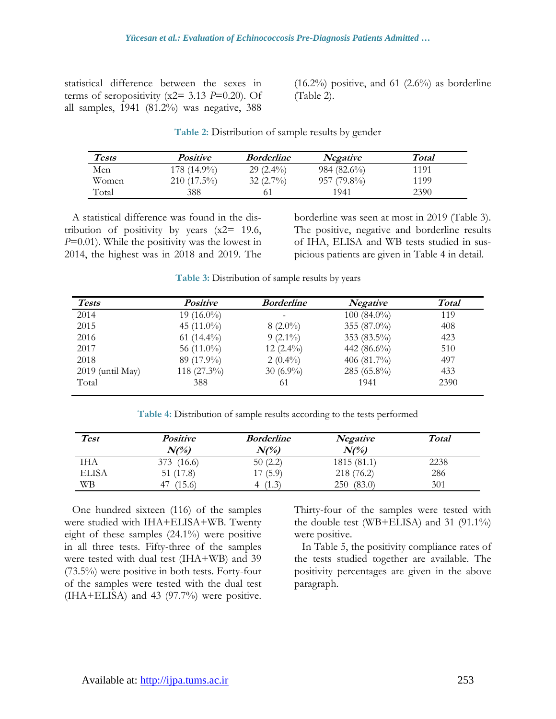statistical difference between the sexes in terms of seropositivity  $(x2= 3.13 \text{ } P=0.20)$ . Of all samples, 1941 (81.2%) was negative, 388

 $(16.2\%)$  positive, and 61  $(2.6\%)$  as borderline (Table 2).

| Table 2: Distribution of sample results by gender |  |  |
|---------------------------------------------------|--|--|
|                                                   |  |  |

| <b>Tests</b> | <i>Positive</i> | <i>Borderline</i> | <b>Negative</b> | <b>Total</b> |
|--------------|-----------------|-------------------|-----------------|--------------|
| Men          | 178 (14.9%)     | $29(2.4\%)$       | 984 (82.6%)     | 1191         |
| Women        | $210(17.5\%)$   | $32(2.7\%)$       | $957(79.8\%)$   | 1199         |
| Total        | 388             |                   | 1941            | 2390         |

A statistical difference was found in the distribution of positivity by years  $(x2= 19.6,$ *P*=0.01). While the positivity was the lowest in 2014, the highest was in 2018 and 2019. The

borderline was seen at most in 2019 (Table 3). The positive, negative and borderline results of IHA, ELISA and WB tests studied in suspicious patients are given in Table 4 in detail.

**Table 3:** Distribution of sample results by years

| <b>Tests</b>       | <b>Positive</b> | <b>Borderline</b> | <b>Negative</b> | <b>Total</b> |
|--------------------|-----------------|-------------------|-----------------|--------------|
| 2014               | 19 $(16.0\%)$   | -                 | $100(84.0\%)$   | 119          |
| 2015               | 45 $(11.0\%)$   | $8(2.0\%)$        | 355 (87.0%)     | 408          |
| 2016               | 61 $(14.4\%)$   | $9(2.1\%)$        | 353 (83.5%)     | 423          |
| 2017               | 56 $(11.0\%)$   | $12(2.4\%)$       | 442 $(86.6\%)$  | 510          |
| 2018               | 89 (17.9%)      | $2(0.4\%)$        | 406 $(81.7\%)$  | 497          |
| $2019$ (until May) | 118 $(27.3\%)$  | 30 $(6.9\%)$      | 285 (65.8%)     | 433          |
| Total              | 388             | 61                | 1941            | 2390         |
|                    |                 |                   |                 |              |

**Table 4:** Distribution of sample results according to the tests performed

| <b>Test</b>  | <b>Positive</b><br>$N\ell\%$ | <b>Borderline</b><br>$N\ell\%$ | <b>Negative</b><br>$N\ell\%$ | <b>Total</b> |
|--------------|------------------------------|--------------------------------|------------------------------|--------------|
| IHA          | 373 (16.6)                   | 50(2.2)                        | 1815(81.1)                   | 2238         |
| <b>ELISA</b> | 51 (17.8)                    | 17(5.9)                        | 218 (76.2)                   | 286          |
| WВ           | (15.6)<br>$4^{\circ}$        | (1.3)                          | (83.0)<br>250                | 301          |

One hundred sixteen (116) of the samples were studied with IHA+ELISA+WB. Twenty eight of these samples (24.1%) were positive in all three tests. Fifty-three of the samples were tested with dual test (IHA+WB) and 39 (73.5%) were positive in both tests. Forty-four of the samples were tested with the dual test (IHA+ELISA) and 43 (97.7%) were positive.

Thirty-four of the samples were tested with the double test (WB+ELISA) and 31 (91.1%) were positive.

In Table 5, the positivity compliance rates of the tests studied together are available. The positivity percentages are given in the above paragraph.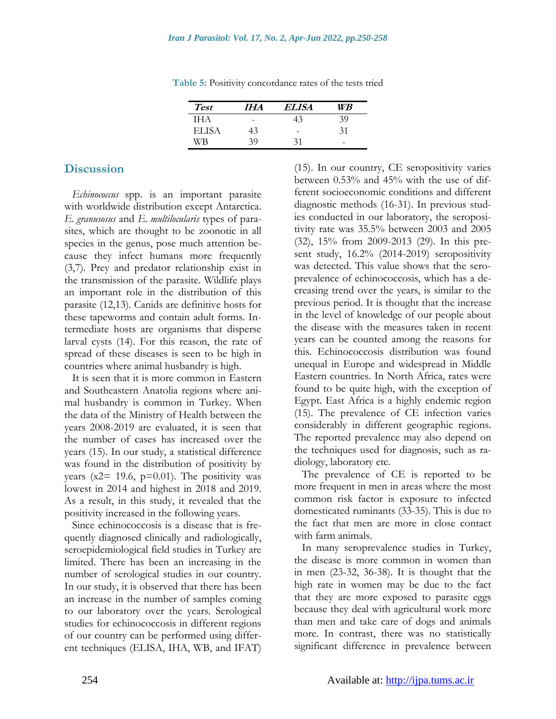| <b>Test</b> | IHA | ELISA | WВ |
|-------------|-----|-------|----|
| IH A        |     |       |    |
| ELISA       | 43  | -     | 31 |
|             | 30  | 31    | -  |

**Table 5:** Positivity concordance rates of the tests tried

# **Discussion**

*Echinococcus* spp. is an important parasite with worldwide distribution except Antarctica*. E. granusosus* and *E. multilocularis* types of parasites, which are thought to be zoonotic in all species in the genus, pose much attention because they infect humans more frequently (3,7). Prey and predator relationship exist in the transmission of the parasite. Wildlife plays an important role in the distribution of this parasite (12,13). Canids are definitive hosts for these tapeworms and contain adult forms. Intermediate hosts are organisms that disperse larval cysts (14). For this reason, the rate of spread of these diseases is seen to be high in countries where animal husbandry is high.

It is seen that it is more common in Eastern and Southeastern Anatolia regions where animal husbandry is common in Turkey. When the data of the Ministry of Health between the years 2008-2019 are evaluated, it is seen that the number of cases has increased over the years (15). In our study, a statistical difference was found in the distribution of positivity by years ( $x2 = 19.6$ ,  $p=0.01$ ). The positivity was lowest in 2014 and highest in 2018 and 2019. As a result, in this study, it revealed that the positivity increased in the following years.

Since echinococcosis is a disease that is frequently diagnosed clinically and radiologically, seroepidemiological field studies in Turkey are limited. There has been an increasing in the number of serological studies in our country. In our study, it is observed that there has been an increase in the number of samples coming to our laboratory over the years. Serological studies for echinococcosis in different regions of our country can be performed using different techniques (ELISA, IHA, WB, and IFAT) (15). In our country, CE seropositivity varies between 0.53% and 45% with the use of different socioeconomic conditions and different diagnostic methods (16-31). In previous studies conducted in our laboratory, the seropositivity rate was 35.5% between 2003 and 2005 (32), 15% from 2009-2013 (29). In this present study, 16.2% (2014-2019) seropositivity was detected. This value shows that the seroprevalence of echinococcosis, which has a decreasing trend over the years, is similar to the previous period. It is thought that the increase in the level of knowledge of our people about the disease with the measures taken in recent years can be counted among the reasons for this. Echinococcosis distribution was found unequal in Europe and widespread in Middle Eastern countries. In North Africa, rates were found to be quite high, with the exception of Egypt. East Africa is a highly endemic region (15). The prevalence of CE infection varies considerably in different geographic regions. The reported prevalence may also depend on the techniques used for diagnosis, such as radiology, laboratory etc.

The prevalence of CE is reported to be more frequent in men in areas where the most common risk factor is exposure to infected domesticated ruminants (33-35). This is due to the fact that men are more in close contact with farm animals.

In many seroprevalence studies in Turkey, the disease is more common in women than in men (23-32, 36-38). It is thought that the high rate in women may be due to the fact that they are more exposed to parasite eggs because they deal with agricultural work more than men and take care of dogs and animals more. In contrast, there was no statistically significant difference in prevalence between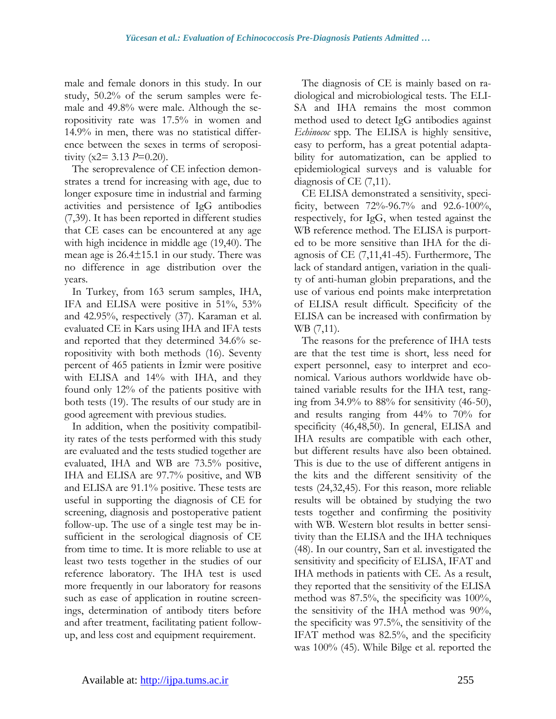male and female donors in this study. In our study, 50.2% of the serum samples were female and 49.8% were male. Although the seropositivity rate was 17.5% in women and 14.9% in men, there was no statistical difference between the sexes in terms of seropositivity (x2= 3.13 *P*=0.20).

The seroprevalence of CE infection demonstrates a trend for increasing with age, due to longer exposure time in industrial and farming activities and persistence of IgG antibodies (7,39). It has been reported in different studies that CE cases can be encountered at any age with high incidence in middle age (19,40). The mean age is 26.4±15.1 in our study. There was no difference in age distribution over the years.

In Turkey, from 163 serum samples, IHA, IFA and ELISA were positive in 51%, 53% and 42.95%, respectively (37). Karaman et al. evaluated CE in Kars using IHA and IFA tests and reported that they determined 34.6% seropositivity with both methods (16). Seventy percent of 465 patients in İzmir were positive with ELISA and 14% with IHA, and they found only 12% of the patients positive with both tests (19). The results of our study are in good agreement with previous studies.

In addition, when the positivity compatibility rates of the tests performed with this study are evaluated and the tests studied together are evaluated, IHA and WB are 73.5% positive, IHA and ELISA are 97.7% positive, and WB and ELISA are 91.1% positive. These tests are useful in supporting the diagnosis of CE for screening, diagnosis and postoperative patient follow-up. The use of a single test may be insufficient in the serological diagnosis of CE from time to time. It is more reliable to use at least two tests together in the studies of our reference laboratory. The IHA test is used more frequently in our laboratory for reasons such as ease of application in routine screenings, determination of antibody titers before and after treatment, facilitating patient followup, and less cost and equipment requirement.

The diagnosis of CE is mainly based on radiological and microbiological tests. The ELI-SA and IHA remains the most common method used to detect IgG antibodies against *Echinococ* spp*.* The ELISA is highly sensitive, easy to perform, has a great potential adaptability for automatization, can be applied to epidemiological surveys and is valuable for diagnosis of CE (7,11).

CE ELISA demonstrated a sensitivity, specificity, between 72%-96.7% and 92.6-100%, respectively, for IgG, when tested against the WB reference method. The ELISA is purported to be more sensitive than IHA for the diagnosis of CE (7,11,41-45). Furthermore, The lack of standard antigen, variation in the quality of anti-human globin preparations, and the use of various end points make interpretation of ELISA result difficult. Specificity of the ELISA can be increased with confirmation by WB (7,11).

The reasons for the preference of IHA tests are that the test time is short, less need for expert personnel, easy to interpret and economical. Various authors worldwide have obtained variable results for the IHA test, ranging from 34.9% to 88% for sensitivity (46-50), and results ranging from 44% to 70% for specificity (46,48,50). In general, ELISA and IHA results are compatible with each other, but different results have also been obtained. This is due to the use of different antigens in the kits and the different sensitivity of the tests (24,32,45). For this reason, more reliable results will be obtained by studying the two tests together and confirming the positivity with WB. Western blot results in better sensitivity than the ELISA and the IHA techniques (48). In our country, Sarı et al. investigated the sensitivity and specificity of ELISA, IFAT and IHA methods in patients with CE*.* As a result, they reported that the sensitivity of the ELISA method was 87.5%, the specificity was 100%, the sensitivity of the IHA method was 90%, the specificity was 97.5%, the sensitivity of the IFAT method was 82.5%, and the specificity was 100% (45). While Bilge et al. reported the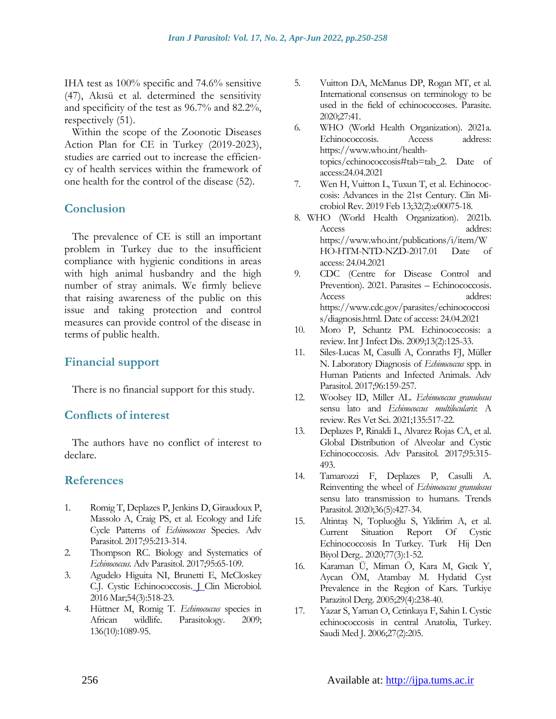IHA test as 100% specific and 74.6% sensitive (47), Akısü et al. determined the sensitivity and specificity of the test as 96.7% and 82.2%, respectively (51).

Within the scope of the Zoonotic Diseases Action Plan for CE in Turkey (2019-2023), studies are carried out to increase the efficiency of health services within the framework of one health for the control of the disease (52).

# **Conclusion**

The prevalence of CE is still an important problem in Turkey due to the insufficient compliance with hygienic conditions in areas with high animal husbandry and the high number of stray animals. We firmly believe that raising awareness of the public on this issue and taking protection and control measures can provide control of the disease in terms of public health.

# **Financial support**

There is no financial support for this study.

## **Conflıcts of interest**

The authors have no conflict of interest to declare.

## **References**

- 1. Romig T, Deplazes P, Jenkins D, Giraudoux P, Massolo A, Craig PS, et al. Ecology and Life Cycle Patterns of *Echinococcus* Species. Adv Parasitol. 2017;95:213-314.
- 2. Thompson RC. Biology and Systematics of *Echinococcus*. Adv Parasitol. 2017;95:65-109.
- 3. Agudelo Higuita NI, Brunetti E, McCloskey C.J. Cystic Echinococcosis. J Clin Microbiol. 2016 Mar;54(3):518-23.
- 4. Hüttner M, Romig T. *Echinococcus* species in African wildlife. Parasitology. 2009; 136(10):1089-95.
- 5. Vuitton DA, McManus DP, Rogan MT, et al. International consensus on terminology to be used in the field of echinococcoses. Parasite. 2020;27:41.
- 6. WHO (World Health Organization). 2021a. Echinococcosis. Access address: [https://www.who.int/health](https://www.who.int/health-topics/echinococcosis%23tab=tab_2)[topics/echinococcosis#tab=tab\\_2.](https://www.who.int/health-topics/echinococcosis%23tab=tab_2) Date of access:24.04.2021
- 7. Wen H, Vuitton L, Tuxun T, et al. Echinococcosis: Advances in the 21st Century. Clin Microbiol Rev. 2019 Feb 13;32(2):e00075-18.
- 8. WHO (World Health Organization). 2021b. Access addres: [https://www.who.int/publications/i/item/W](https://www.who.int/publications/i/item/WHO-HTM-NTD-NZD-2017.01) [HO-HTM-NTD-NZD-2017.01](https://www.who.int/publications/i/item/WHO-HTM-NTD-NZD-2017.01) Date of access: 24.04.2021
- 9. CDC (Centre for Disease Control and Prevention). 2021. Parasites – Echinococcosis. Access addres: [https://www.cdc.gov/parasites/echinococcosi](https://www.cdc.gov/parasites/echinococcosis/diagnosis.html) [s/diagnosis.html.](https://www.cdc.gov/parasites/echinococcosis/diagnosis.html) Date of access: 24.04.2021
- 10. Moro P, Schantz PM. Echinococcosis: a review. Int J Infect Dis. 2009;13(2):125-33.
- 11. Siles-Lucas M, Casulli A, Conraths FJ, Müller N. Laboratory Diagnosis of *Echinococcus* spp. in Human Patients and Infected Animals. Adv Parasitol. 2017;96:159-257.
- 12. Woolsey ID, Miller AL. *Echinococcus granulosus* sensu lato and *Echinococcus multilocularis*: A review. Res Vet Sci. 2021;135:517-22.
- 13. Deplazes P, Rinaldi L, Alvarez Rojas CA, et al. Global Distribution of Alveolar and Cystic Echinococcosis. Adv Parasitol. 2017;95:315- 493.
- 14. Tamarozzi F, Deplazes P, Casulli A. Reinventing the wheel of *Echinococcus granulosus* sensu lato transmission to humans. Trends Parasitol. 2020;36(5):427-34.
- 15. Altintaş N, Topluoğlu S, Yildirim A, et al. Current Situation Report Of Cystic Echinococcosis In Turkey. Turk Hij Den Biyol Derg.. 2020;77(3):1-52.
- 16. Karaman Ü, Miman Ö, Kara M, Gıcık Y, Aycan ÖM, Atambay M. Hydatid Cyst Prevalence in the Region of Kars. Turkiye Parazitol Derg. 2005;29(4):238-40.
- 17. Yazar S, Yaman O, Cetinkaya F, Sahin I. Cystic echinococcosis in central Anatolia, Turkey. Saudi Med J. 2006;27(2):205.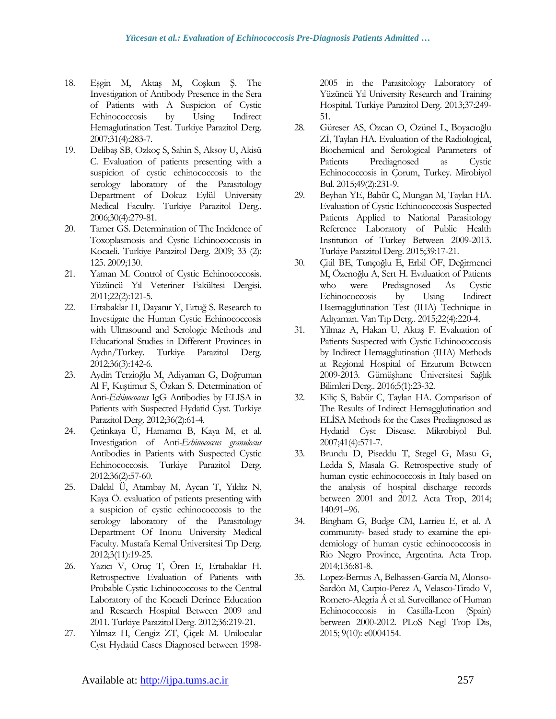- 18. Eşgin M, Aktaş M, Coşkun Ş. The Investigation of Antibody Presence in the Sera of Patients with A Suspicion of Cystic Echinococcosis by Using Indirect Hemaglutination Test. Turkiye Parazitol Derg. 2007;31(4):283-7.
- 19. Delibaş SB, Ozkoç S, Sahin S, Aksoy U, Akisü C. Evaluation of patients presenting with a suspicion of cystic echinococcosis to the serology laboratory of the Parasitology Department of Dokuz Eylül University Medical Faculty. Turkiye Parazitol Derg.. 2006;30(4):279-81.
- 20. Tamer GS. Determination of The Incidence of Toxoplasmosis and Cystic Echinococcosis in Kocaeli. Turkiye Parazitol Derg. 2009; 33 (2): 125. 2009;130.
- 21. Yaman M. Control of Cystic Echinococcosis. Yüzüncü Yıl Veteriner Fakültesi Dergisi. 2011;22(2):121-5.
- 22. Ertabaklar H, Dayanır Y, Ertuğ S. Research to Investigate the Human Cystic Echinococcosis with Ultrasound and Serologic Methods and Educational Studies in Different Provinces in Aydın/Turkey. Turkiye Parazitol Derg. 2012;36(3):142-6.
- 23. Aydin Terzioğlu M, Adiyaman G, Doğruman Al F, Kuştimur S, Özkan S. Determination of Anti-*Echinococcus* IgG Antibodies by ELISA in Patients with Suspected Hydatid Cyst. Turkiye Parazitol Derg. 2012;36(2):61-4.
- 24. Çetinkaya Ü, Hamamcı B, Kaya M, et al. Investigation of Anti*-Echinococcus granulosus* Antibodies in Patients with Suspected Cystic Echinococcosis. Turkiye Parazitol Derg. 2012;36(2):57-60.
- 25. Daldal Ü, Atambay M, Aycan T, Yıldız N, Kaya Ö. evaluation of patients presenting with a suspicion of cystic echinococcosis to the serology laboratory of the Parasitology Department Of Inonu University Medical Faculty. Mustafa Kemal Üniversitesi Tıp Derg. 2012;3(11):19-25.
- 26. Yazıcı V, Oruç T, Ören E, Ertabaklar H. Retrospective Evaluation of Patients with Probable Cystic Echinococcosis to the Central Laboratory of the Kocaeli Derince Education and Research Hospital Between 2009 and 2011. Turkiye Parazitol Derg. 2012;36:219-21.
- 27. Yılmaz H, Cengiz ZT, Çiçek M. Unilocular Cyst Hydatid Cases Diagnosed between 1998-

2005 in the Parasitology Laboratory of Yüzüncü Yıl University Research and Training Hospital. Turkiye Parazitol Derg. 2013;37:249- 51.

- 28. Güreser AS, Özcan O, Özünel L, Boyacıoğlu Zİ, Taylan HA. Evaluation of the Radiological, Biochemical and Serological Parameters of Patients Prediagnosed as Cystic Echinococcosis in Çorum, Turkey. Mirobiyol Bul. 2015;49(2):231-9.
- 29. Beyhan YE, Babür C, Mungan M, Taylan HA. Evaluation of Cystic Echinococcosis Suspected Patients Applied to National Parasitology Reference Laboratory of Public Health Institution of Turkey Between 2009-2013. Turkiye Parazitol Derg. 2015;39:17-21.
- 30. Çitil BE, Tunçoğlu E, Erbil ÖF, Değirmenci M, Özenoğlu A, Sert H. Evaluation of Patients who were Prediagnosed As Cystic Echinococcosis by Using Indirect Haemagglutination Test (IHA) Technique in Adıyaman. Van Tıp Derg.. 2015;22(4):220-4.
- 31. Yilmaz A, Hakan U, Aktaş F. Evaluation of Patients Suspected with Cystic Echinococcosis by Indirect Hemagglutination (IHA) Methods at Regional Hospital of Erzurum Between 2009-2013. Gümüşhane Üniversitesi Sağlık Bilimleri Derg.. 2016;5(1):23-32.
- 32. Kiliç S, Babür C, Taylan HA. Comparison of The Results of Indirect Hemagglutination and ELİSA Methods for the Cases Prediagnosed as Hydatid Cyst Disease. Mikrobiyol Bul. 2007;41(4):571-7.
- 33. Brundu D, Piseddu T, Stegel G, Masu G, Ledda S, Masala G. Retrospective study of human cystic echinococcosis in Italy based on the analysis of hospital discharge records between 2001 and 2012. Acta Trop, 2014; 140:91–96.
- 34. Bingham G, Budge CM, Larrieu E, et al. A community- based study to examine the epidemiology of human cystic echinococcosis in Rio Negro Province, Argentina. Acta Trop. 2014;136:81-8.
- 35. Lopez-Bernus A, Belhassen-García M, Alonso-Sardón M, Carpio-Perez A, Velasco-Tirado V, Romero-Alegria Á et al. Surveillance of Human Echinococcosis in Castilla-Leon (Spain) between 2000-2012. PLoS Negl Trop Dis, 2015; 9(10): e0004154.